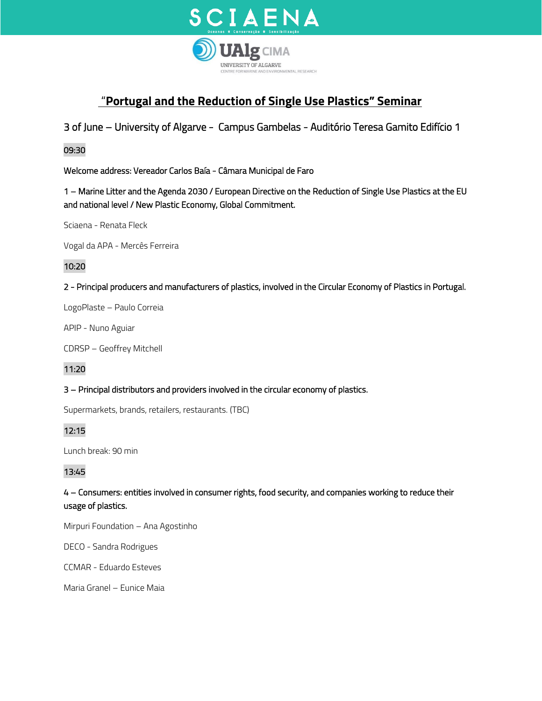

# "**Portugal and the Reduction of Single Use Plastics" Seminar**

3 of June – University of Algarve - Campus Gambelas - Auditório Teresa Gamito Edifício 1

## 09:30

Welcome address: Vereador Carlos Baía - Câmara Municipal de Faro

1 – Marine Litter and the Agenda 2030 / European Directive on the Reduction of Single Use Plastics at the EU and national level / New Plastic Economy, Global Commitment.

Sciaena - Renata Fleck

Vogal da APA - Mercês Ferreira

## 10:20

2 - Principal producers and manufacturers of plastics, involved in the Circular Economy of Plastics in Portugal.

LogoPlaste – Paulo Correia

APIP - Nuno Aguiar

CDRSP – Geoffrey Mitchell

11:20

### 3 – Principal distributors and providers involved in the circular economy of plastics.

Supermarkets, brands, retailers, restaurants. (TBC)

## 12:15

Lunch break: 90 min

## 13:45

4 – Consumers: entities involved in consumer rights, food security, and companies working to reduce their usage of plastics.

Mirpuri Foundation – Ana Agostinho

DECO - Sandra Rodrigues

CCMAR - Eduardo Esteves

Maria Granel – Eunice Maia